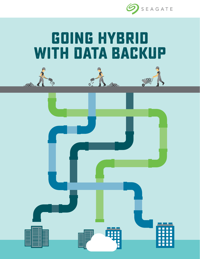

# **Going Hybrid With Data Backup**





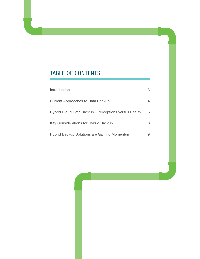## TABLE OF CONTENTS

| Introduction                                        |   |
|-----------------------------------------------------|---|
| Current Approaches to Data Backup                   | 4 |
| Hybrid Cloud Data Backup-Perceptions Versus Reality | 6 |
| Key Considerations for Hybrid Backup                | 8 |
| Hybrid Backup Solutions are Gaining Momentum        | ч |

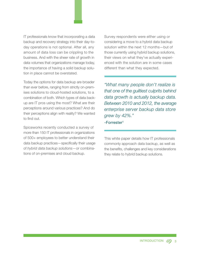IT professionals know that incorporating a data backup and recovery strategy into their day-today operations is not optional. After all, any amount of data loss can be crippling to the business. And with the sheer rate of growth in data volumes that organizations manage today, the importance of having a solid backup solution in place cannot be overstated.

Today the options for data backup are broader than ever before, ranging from strictly on-premises solutions to cloud-hosted solutions, to a combination of both. Which types of data backup are IT pros using the most? What are their perceptions around various practices? And do their perceptions align with reality? We wanted to find out.

Spiceworks recently conducted a survey of more than 150 IT professionals in organizations of 500+ employees to better understand their data backup practices—specifically their usage of *hybrid data backup solutions*—or combinations of on-premises and cloud backup.

Survey respondents were either using or considering a move to a hybrid data backup solution within the next 12 months—but of those currently using hybrid backup solutions, their views on what they've actually experienced with the solution are in some cases different than what they expected.

*"What many people don't realize is that one of the guiltiest culprits behind data growth is actually backup data. Between 2010 and 2012, the average enterprise server backup data store grew by 42%."*

-Forrester1

This white paper details how IT professionals commonly approach data backup, as well as the benefits, challenges and key considerations they relate to hybrid backup solutions.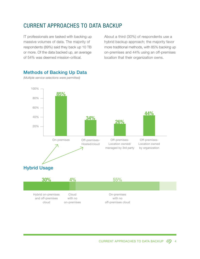## CURRENT APPROACHES TO DATA BACKUP

IT professionals are tasked with backing up massive volumes of data. The majority of respondents (89%) said they back up 10 TB or more. Of the data backed up, an average of 54% was deemed mission-critical.

About a third (30%) of respondents use a hybrid backup approach; the majority favor more traditional methods, with 85% backing up on-premises and 44% using an off-premises location that their organization owns.



#### Methods of Backing Up Data

*(Multiple service selections were permitted)*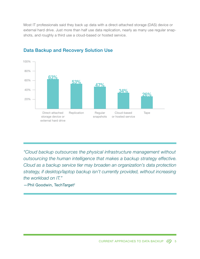Most IT professionals said they back up data with a direct-attached storage (DAS) device or external hard drive. Just more than half use data replication, nearly as many use regular snapshots, and roughly a third use a cloud-based or hosted service.



#### Data Backup and Recovery Solution Use

*"Cloud backup outsources the physical infrastructure management without outsourcing the human intelligence that makes a backup strategy effective. Cloud as a backup service tier may broaden an organization's data protection strategy, if desktop/laptop backup isn't currently provided, without increasing the workload on IT."*

-Phil Goodwin, TechTarget<sup>2</sup>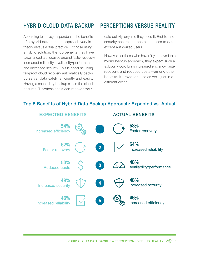## HYBRID CLOUD DATA BACKUP—PERCEPTIONS VERSUS REALITY

According to survey respondents, the benefits of a hybrid data backup approach vary in theory versus actual practice. Of those using a hybrid solution, the top benefits they have experienced are focused around faster recovery, increased reliability, availability/performance, and increased security. This is because using fail-proof cloud recovery automatically backs up server data safely, efficiently and easily. Having a secondary backup site in the cloud ensures IT professionals can recover their

data quickly, anytime they need it. End-to-end security ensures no one has access to data except authorized users.

However, for those who haven't yet moved to a hybrid backup approach, they expect such a solution would bring increased efficiency, faster recovery, and reduced costs—among other benefits. It provides these as well, just in a different order.

#### Top 5 Benefits of Hybrid Data Backup Approach: Expected vs. Actual

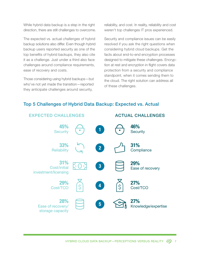While hybrid data backup is a step in the right direction, there are still challenges to overcome.

The expected vs. actual *challenges* of hybrid backup solutions also differ. Even though hybrid backup users reported security as one of the top benefits of hybrid backups, they also cite it as a challenge. Just under a third also face challenges around compliance requirements, ease of recovery and costs.

Those considering using hybrid backups—but who've not yet made the transition—reported they anticipate challenges around security,

reliability, and cost. In reality, reliability and cost weren't top challenges IT pros experienced.

Security and compliance issues can be easily resolved if you ask the right questions when considering hybrid cloud backups. Get the facts about end-to-end encryption processes designed to mitigate these challenges. Encryption at rest and encryption in flight covers data protection from a security and compliance standpoint, when it comes sending them to the cloud. The right solution can address all of these challenges.

#### Top 5 Challenges of Hybrid Data Backup: Expected vs. Actual

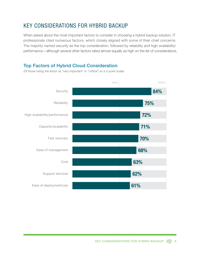## KEY CONSIDERATIONS FOR HYBRID BACKUP

When asked about the most important factors to consider in choosing a hybrid backup solution, IT professionals cited numerous factors, which closely aligned with some of their chief concerns. The majority named security as the top consideration, followed by reliability and high availability/ performance—although several other factors rated almost equally as high on the list of considerations.

#### Top Factors of Hybrid Cloud Consideration

*(Of those rating the factor as "very important" or "critical" on a 5-point scale)*